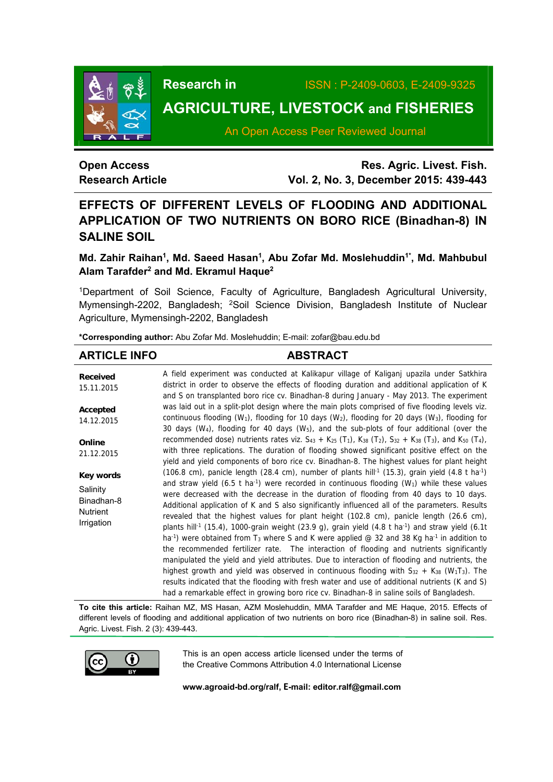

# **Research in** ISSN : P-2409-0603, E-2409-9325

# **AGRICULTURE, LIVESTOCK and FISHERIES**

An Open Access Peer Reviewed Journal

# **Open Access Research Article**

**Res. Agric. Livest. Fish. Vol. 2, No. 3, December 2015: 439-443**

# **EFFECTS OF DIFFERENT LEVELS OF FLOODING AND ADDITIONAL APPLICATION OF TWO NUTRIENTS ON BORO RICE (Binadhan-8) IN SALINE SOIL**

Md. Zahir Raihan<sup>1</sup>, Md. Saeed Hasan<sup>1</sup>, Abu Zofar Md. Moslehuddin<sup>1\*</sup>, Md. Mahbubul Alam Tarafder<sup>2</sup> and Md. Ekramul Haque<sup>2</sup>

1Department of Soil Science, Faculty of Agriculture, Bangladesh Agricultural University, Mymensingh-2202, Bangladesh; <sup>2</sup>Soil Science Division, Bangladesh Institute of Nuclear Agriculture, Mymensingh-2202, Bangladesh

**\*Corresponding author:** Abu Zofar Md. Moslehuddin; E-mail: zofar@bau.edu.bd

#### **ARTICLE INFO ABSTRACT Received**  15.11.2015 **Accepted**  14.12.2015 **Online**  21.12.2015 **Key words Salinity** Binadhan-8 **Nutrient** Irrigation A field experiment was conducted at Kalikapur village of Kaliganj upazila under Satkhira district in order to observe the effects of flooding duration and additional application of K and S on transplanted boro rice cv. Binadhan-8 during January - May 2013. The experiment was laid out in a split-plot design where the main plots comprised of five flooding levels viz. continuous flooding (W<sub>1</sub>), flooding for 10 days (W<sub>2</sub>), flooding for 20 days (W<sub>3</sub>), flooding for 30 days (W4), flooding for 40 days (W5), and the sub-plots of four additional (over the recommended dose) nutrients rates viz.  $S_{43} + K_{25}$  (T<sub>1</sub>),  $K_{38}$  (T<sub>2</sub>),  $S_{32} + K_{38}$  (T<sub>3</sub>), and  $K_{50}$  (T<sub>4</sub>), with three replications. The duration of flooding showed significant positive effect on the yield and yield components of boro rice cv. Binadhan-8. The highest values for plant height (106.8 cm), panicle length (28.4 cm), number of plants hill<sup>-1</sup> (15.3), grain yield (4.8 t ha<sup>-1</sup>) and straw yield (6.5 t ha<sup>-1</sup>) were recorded in continuous flooding ( $W_1$ ) while these values were decreased with the decrease in the duration of flooding from 40 days to 10 days. Additional application of K and S also significantly influenced all of the parameters. Results revealed that the highest values for plant height (102.8 cm), panicle length (26.6 cm), plants hill<sup>-1</sup> (15.4), 1000-grain weight (23.9 g), grain yield (4.8 t ha<sup>-1</sup>) and straw yield (6.1t ha<sup>-1</sup>) were obtained from T<sub>3</sub> where S and K were applied @ 32 and 38 Kg ha<sup>-1</sup> in addition to the recommended fertilizer rate. The interaction of flooding and nutrients significantly manipulated the yield and yield attributes. Due to interaction of flooding and nutrients, the highest growth and yield was observed in continuous flooding with  $S_{32} + K_{38}$  (W<sub>1</sub>T<sub>3</sub>). The results indicated that the flooding with fresh water and use of additional nutrients (K and S) had a remarkable effect in growing boro rice cv. Binadhan-8 in saline soils of Bangladesh.

**To cite this article:** Raihan MZ, MS Hasan, AZM Moslehuddin, MMA Tarafder and ME Haque, 2015. Effects of different levels of flooding and additional application of two nutrients on boro rice (Binadhan-8) in saline soil. Res. Agric. Livest. Fish. 2 (3): 439-443.



This is an open access article licensed under the terms of the Creative Commons Attribution 4.0 International License

**www.agroaid-bd.org/ralf, E-mail: editor.ralf@gmail.com**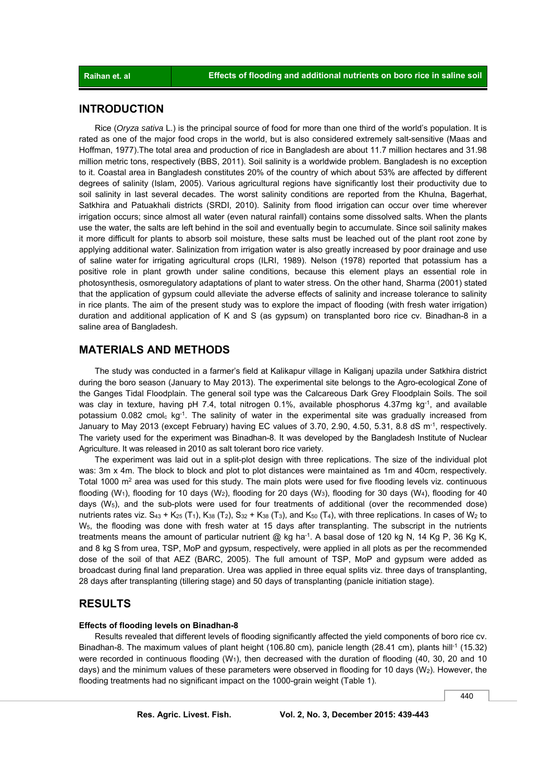# **INTRODUCTION**

 Rice (*Oryza sativa* L.) is the principal source of food for more than one third of the world's population. It is rated as one of the major food crops in the world, but is also considered extremely salt-sensitive (Maas and Hoffman, 1977).The total area and production of rice in Bangladesh are about 11.7 million hectares and 31.98 million metric tons, respectively (BBS, 2011). Soil salinity is a worldwide problem. Bangladesh is no exception to it. Coastal area in Bangladesh constitutes 20% of the country of which about 53% are affected by different degrees of salinity (Islam, 2005). Various agricultural regions have significantly lost their productivity due to soil salinity in last several decades. The worst salinity conditions are reported from the Khulna, Bagerhat, Satkhira and Patuakhali districts (SRDI, 2010). Salinity from flood irrigation can occur over time wherever irrigation occurs; since almost all water (even natural rainfall) contains some dissolved salts. When the plants use the water, the salts are left behind in the soil and eventually begin to accumulate. Since soil salinity makes it more difficult for plants to absorb soil moisture, these salts must be leached out of the plant root zone by applying additional water. Salinization from irrigation water is also greatly increased by poor drainage and use of saline water for irrigating agricultural crops (ILRI, 1989). Nelson (1978) reported that potassium has a positive role in plant growth under saline conditions, because this element plays an essential role in photosynthesis, osmoregulatory adaptations of plant to water stress. On the other hand, Sharma (2001) stated that the application of gypsum could alleviate the adverse effects of salinity and increase tolerance to salinity in rice plants. The aim of the present study was to explore the impact of flooding (with fresh water irrigation) duration and additional application of K and S (as gypsum) on transplanted boro rice cv. Binadhan-8 in a saline area of Bangladesh.

# **MATERIALS AND METHODS**

 The study was conducted in a farmer's field at Kalikapur village in Kaliganj upazila under Satkhira district during the boro season (January to May 2013). The experimental site belongs to the Agro-ecological Zone of the Ganges Tidal Floodplain. The general soil type was the Calcareous Dark Grey Floodplain Soils. The soil was clav in texture, having pH 7.4, total nitrogen 0.1%, available phosphorus 4.37mg kg<sup>-1</sup>, and available potassium 0.082 cmolc kg<sup>-1</sup>. The salinity of water in the experimental site was gradually increased from January to May 2013 (except February) having EC values of 3.70, 2.90, 4.50, 5.31, 8.8 dS m<sup>-1</sup>, respectively. The variety used for the experiment was Binadhan-8. It was developed by the Bangladesh Institute of Nuclear Agriculture. It was released in 2010 as salt tolerant boro rice variety.

 The experiment was laid out in a split-plot design with three replications. The size of the individual plot was: 3m x 4m. The block to block and plot to plot distances were maintained as 1m and 40cm, respectively. Total 1000 m<sup>2</sup> area was used for this study. The main plots were used for five flooding levels viz. continuous flooding (W<sub>1</sub>), flooding for 10 days (W<sub>2</sub>), flooding for 20 days (W<sub>3</sub>), flooding for 30 days (W<sub>4</sub>), flooding for 40 days  $(W_5)$ , and the sub-plots were used for four treatments of additional (over the recommended dose) nutrients rates viz. S<sub>43</sub> + K<sub>25</sub> (T<sub>1</sub>), K<sub>38</sub> (T<sub>2</sub>), S<sub>32</sub> + K<sub>38</sub> (T<sub>3</sub>), and K<sub>50</sub> (T<sub>4</sub>), with three replications. In cases of W<sub>2</sub> to W5, the flooding was done with fresh water at 15 days after transplanting. The subscript in the nutrients treatments means the amount of particular nutrient  $@$  kg ha<sup>-1</sup>. A basal dose of 120 kg N, 14 Kg P, 36 Kg K, and 8 kg S from urea, TSP, MoP and gypsum, respectively, were applied in all plots as per the recommended dose of the soil of that AEZ (BARC, 2005). The full amount of TSP, MoP and gypsum were added as broadcast during final land preparation. Urea was applied in three equal splits viz. three days of transplanting, 28 days after transplanting (tillering stage) and 50 days of transplanting (panicle initiation stage).

# **RESULTS**

#### **Effects of flooding levels on Binadhan-8**

 Results revealed that different levels of flooding significantly affected the yield components of boro rice cv. Binadhan-8. The maximum values of plant height (106.80 cm), panicle length (28.41 cm), plants hill<sup>-1</sup> (15.32) were recorded in continuous flooding  $(W_1)$ , then decreased with the duration of flooding (40, 30, 20 and 10 days) and the minimum values of these parameters were observed in flooding for 10 days ( $W<sub>2</sub>$ ). However, the flooding treatments had no significant impact on the 1000-grain weight (Table 1).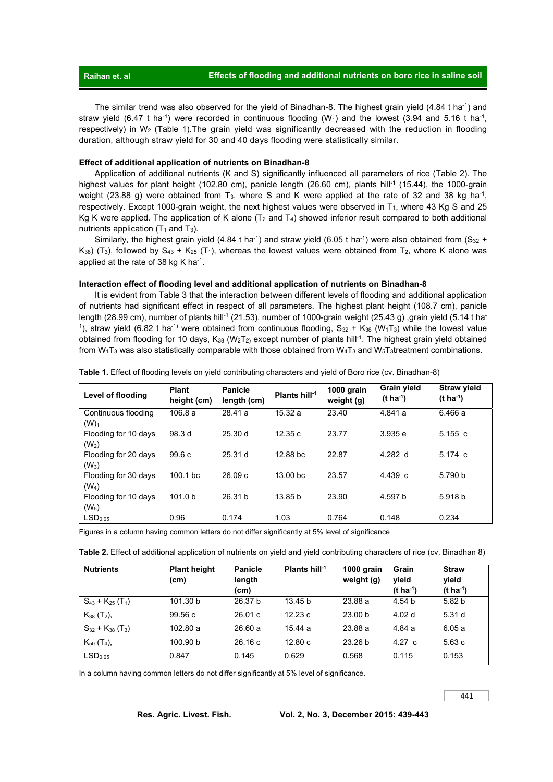**Raihan et. al Effects of flooding and additional nutrients on boro rice in saline soil** 

 The similar trend was also observed for the yield of Binadhan-8. The highest grain yield (4.84 t ha-1) and straw yield (6.47 t ha<sup>-1</sup>) were recorded in continuous flooding (W<sub>1</sub>) and the lowest (3.94 and 5.16 t ha<sup>-1</sup>, respectively) in W2 (Table 1).The grain yield was significantly decreased with the reduction in flooding duration, although straw yield for 30 and 40 days flooding were statistically similar.

#### **Effect of additional application of nutrients on Binadhan-8**

 Application of additional nutrients (K and S) significantly influenced all parameters of rice (Table 2). The highest values for plant height (102.80 cm), panicle length (26.60 cm), plants hill<sup>-1</sup> (15.44), the 1000-grain weight (23.88 g) were obtained from T<sub>3</sub>, where S and K were applied at the rate of 32 and 38 kg ha<sup>-1</sup>, respectively. Except 1000-grain weight, the next highest values were observed in T<sub>1</sub>, where 43 Kg S and 25 Kg K were applied. The application of K alone  $(T_2$  and  $T_4$ ) showed inferior result compared to both additional nutrients application (T<sub>1</sub> and T<sub>3</sub>).

Similarly, the highest grain yield (4.84 t ha<sup>-1</sup>) and straw yield (6.05 t ha<sup>-1</sup>) were also obtained from (S<sub>32</sub> +  $K_{38}$ ) (T<sub>3</sub>), followed by S<sub>43</sub> + K<sub>25</sub> (T<sub>1</sub>), whereas the lowest values were obtained from T<sub>2</sub>, where K alone was applied at the rate of 38 kg K ha-1.

#### **Interaction effect of flooding level and additional application of nutrients on Binadhan-8**

It is evident from Table 3 that the interaction between different levels of flooding and additional application of nutrients had significant effect in respect of all parameters. The highest plant height (108.7 cm), panicle length (28.99 cm), number of plants hill<sup>-1</sup> (21.53), number of 1000-grain weight (25.43 g), grain yield (5.14 t ha-<sup>1</sup>), straw yield (6.82 t ha<sup>-1)</sup> were obtained from continuous flooding,  $S_{32} + K_{38}$  (W<sub>1</sub>T<sub>3</sub>) while the lowest value obtained from flooding for 10 days,  $K_{38}$  (W<sub>2</sub>T<sub>2)</sub> except number of plants hill<sup>-1</sup>. The highest grain yield obtained from W<sub>1</sub>T<sub>3</sub> was also statistically comparable with those obtained from W<sub>4</sub>T<sub>3</sub> and W<sub>5</sub>T<sub>3</sub>treatment combinations.

| Level of flooding                         | <b>Plant</b><br>height (cm) | <b>Panicle</b><br>length (cm) | Plants hill $-1$    | 1000 grain<br>weight (g) | Grain yield<br>$(t \, ha^{-1})$ | <b>Straw yield</b><br>$(t \, ha^{-1})$ |
|-------------------------------------------|-----------------------------|-------------------------------|---------------------|--------------------------|---------------------------------|----------------------------------------|
| Continuous flooding<br>$(W)_{1}$          | 106.8a                      | 28.41 a                       | 15.32a              | 23.40                    | 4.841 a                         | 6.466 a                                |
| Flooding for 10 days<br>(W <sub>2</sub> ) | 98.3 d                      | 25.30d                        | 12.35c              | 23.77                    | 3.935 e                         | 5.155c                                 |
| Flooding for 20 days<br>$(W_3)$           | 99.6c                       | 25.31 <sub>d</sub>            | 12.88 bc            | 22.87                    | 4.282 $d$                       | $5.174 \text{ c}$                      |
| Flooding for 30 days<br>$(W_4)$           | 100.1 bc                    | 26.09c                        | 13.00 <sub>bc</sub> | 23.57                    | 4.439c                          | 5.790 b                                |
| Flooding for 10 days<br>$(W_5)$           | 101.0 <sub>b</sub>          | 26.31 b                       | 13.85 <sub>b</sub>  | 23.90                    | 4.597 b                         | 5.918 b                                |
| LSD <sub>0.05</sub>                       | 0.96                        | 0.174                         | 1.03                | 0.764                    | 0.148                           | 0.234                                  |

**Table 1.** Effect of flooding levels on yield contributing characters and yield of Boro rice (cv. Binadhan-8)

Figures in a column having common letters do not differ significantly at 5% level of significance

**Table 2.** Effect of additional application of nutrients on yield and yield contributing characters of rice (cv. Binadhan 8)

| <b>Nutrients</b>                    | <b>Plant height</b><br>(cm) | <b>Panicle</b><br>length<br>(cm) | Plants hill $-1$ | 1000 grain<br>weight (g) | Grain<br>yield<br>(t ha <sup>-1</sup> ) | <b>Straw</b><br>vield<br>$(t \, ha^{-1})$ |
|-------------------------------------|-----------------------------|----------------------------------|------------------|--------------------------|-----------------------------------------|-------------------------------------------|
| $S_{43} + K_{25}$ (T <sub>1</sub> ) | 101.30 b                    | 26.37 b                          | 13.45 b          | 23.88a                   | 4.54 <sub>b</sub>                       | 5.82 <sub>b</sub>                         |
| $K_{38}$ (T <sub>2</sub> ),         | 99.56c                      | 26.01c                           | 12.23c           | 23.00 <sub>b</sub>       | 4.02 <sub>d</sub>                       | 5.31 d                                    |
| $S_{32} + K_{38}$ (T <sub>3</sub> ) | 102.80 a                    | 26.60a                           | 15.44 a          | 23.88 a                  | 4.84 a                                  | 6.05a                                     |
| $K_{50}$ (T <sub>4</sub> ),         | 100.90 b                    | 26.16c                           | 12.80c           | 23.26 <sub>b</sub>       | 4.27 $c$                                | 5.63c                                     |
| LSD <sub>0.05</sub>                 | 0.847                       | 0.145                            | 0.629            | 0.568                    | 0.115                                   | 0.153                                     |

In a column having common letters do not differ significantly at 5% level of significance.

441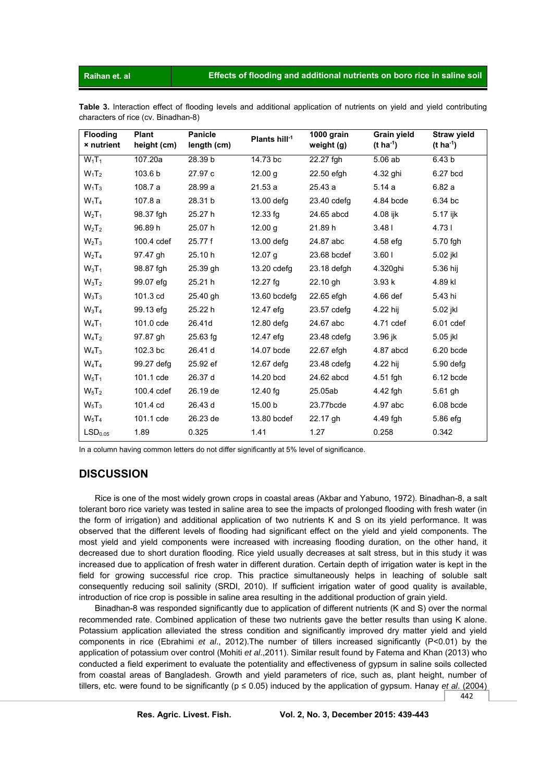Raihan et. al

Table 3. Interaction effect of flooding levels and additional application of nutrients on yield and yield contributing characters of rice (cv. Binadhan-8)

| <b>Flooding</b><br><b>×</b> nutrient | <b>Plant</b><br>height (cm) | <b>Panicle</b><br>length (cm) | Plants hill-1      | 1000 grain<br>weight (g) | Grain yield<br>$(t \, ha^{-1})$ | <b>Straw yield</b><br>(t ha <sup>-1</sup> ) |
|--------------------------------------|-----------------------------|-------------------------------|--------------------|--------------------------|---------------------------------|---------------------------------------------|
| $W_1T_1$                             | 107.20a                     | 28.39 b                       | 14.73 bc           | 22.27 fgh                | 5.06 ab                         | 6.43 <sub>b</sub>                           |
| $W_1$ T <sub>2</sub>                 | 103.6 b                     | 27.97 c                       | 12.00 g            | 22.50 efgh               | 4.32 ghi                        | 6.27 bcd                                    |
| $W_1T_3$                             | 108.7 a                     | 28.99 a                       | 21.53a             | 25.43 a                  | 5.14a                           | 6.82a                                       |
| $W_1T_4$                             | 107.8 a                     | 28.31 b                       | $13.00$ defg       | 23.40 cdefg              | 4.84 bcde                       | 6.34 bc                                     |
| $W_2T_1$                             | 98.37 fgh                   | 25.27 h                       | $12.33$ fg         | 24.65 abcd               | 4.08 ijk                        | 5.17 ijk                                    |
| W <sub>2</sub> T <sub>2</sub>        | 96.89 h                     | 25.07 h                       | 12.00 <sub>q</sub> | 21.89 h                  | 3.481                           | 4.731                                       |
| W <sub>2</sub> T <sub>3</sub>        | 100.4 cdef                  | 25.77 f                       | 13.00 defg         | 24.87 abc                | 4.58 efg                        | 5.70 fgh                                    |
| $W_2T_4$                             | 97.47 gh                    | 25.10 h                       | 12.07 <sub>q</sub> | 23.68 bcdef              | 3.601                           | 5.02 jkl                                    |
| $W_3T_1$                             | 98.87 fgh                   | 25.39 gh                      | $13.20$ cdefg      | 23.18 defgh              | 4.320ghi                        | 5.36 hij                                    |
| $W_3T_2$                             | 99.07 efg                   | 25.21 h                       | $12.27$ fg         | 22.10 gh                 | 3.93k                           | 4.89 kl                                     |
| $W_3T_3$                             | 101.3 cd                    | 25.40 gh                      | 13.60 bcdefg       | 22.65 efgh               | 4.66 def                        | 5.43 hi                                     |
| $W_3T_4$                             | 99.13 efg                   | 25.22 h                       | 12.47 efg          | 23.57 cdefg              | 4.22 hij                        | 5.02 jkl                                    |
| $W_4T_1$                             | 101.0 cde                   | 26.41d                        | 12.80 defg         | 24.67 abc                | 4.71 cdef                       | $6.01$ cdef                                 |
| $W_4T_2$                             | 97.87 gh                    | $25.63$ fg                    | 12.47 efg          | 23.48 cdefg              | 3.96 jk                         | 5.05 jkl                                    |
| $W_4T_3$                             | 102.3 bc                    | 26.41 d                       | 14.07 bcde         | 22.67 efgh               | 4.87 abcd                       | 6.20 bcde                                   |
| $W_4T_4$                             | 99.27 defg                  | 25.92 ef                      | 12.67 defg         | 23.48 cdefg              | 4.22 hij                        | 5.90 defg                                   |
| $W_5T_1$                             | 101.1 cde                   | 26.37 d                       | 14.20 bcd          | 24.62 abcd               | 4.51 fgh                        | 6.12 bcde                                   |
| $W_5T_2$                             | 100.4 cdef                  | 26.19 de                      | 12.40 fg           | 25.05ab                  | 4.42 fgh                        | $5.61$ gh                                   |
| $W_5T_3$                             | 101.4 cd                    | 26.43 d                       | 15.00 b            | 23.77bcde                | 4.97 abc                        | 6.08 bcde                                   |
| $W_5T_4$                             | 101.1 cde                   | 26.23 de                      | 13.80 bcdef        | 22.17 gh                 | 4.49 fgh                        | 5.86 efg                                    |
| LSD <sub>0.05</sub>                  | 1.89                        | 0.325                         | 1.41               | 1.27                     | 0.258                           | 0.342                                       |

In a column having common letters do not differ significantly at 5% level of significance.

# **DISCUSSION**

Rice is one of the most widely grown crops in coastal areas (Akbar and Yabuno, 1972). Binadhan-8, a salt tolerant boro rice variety was tested in saline area to see the impacts of prolonged flooding with fresh water (in the form of irrigation) and additional application of two nutrients K and S on its yield performance. It was observed that the different levels of flooding had significant effect on the yield and yield components. The most yield and yield components were increased with increasing flooding duration, on the other hand, it decreased due to short duration flooding. Rice yield usually decreases at salt stress, but in this study it was increased due to application of fresh water in different duration. Certain depth of irrigation water is kept in the field for growing successful rice crop. This practice simultaneously helps in leaching of soluble salt consequently reducing soil salinity (SRDI, 2010). If sufficient irrigation water of good quality is available, introduction of rice crop is possible in saline area resulting in the additional production of grain vield.

Binadhan-8 was responded significantly due to application of different nutrients (K and S) over the normal recommended rate. Combined application of these two nutrients gave the better results than using K alone. Potassium application alleviated the stress condition and significantly improved dry matter yield and yield components in rice (Ebrahimi et al., 2012). The number of tillers increased significantly (P<0.01) by the application of potassium over control (Mohiti et al., 2011). Similar result found by Fatema and Khan (2013) who conducted a field experiment to evaluate the potentiality and effectiveness of gypsum in saline soils collected from coastal areas of Bangladesh. Growth and yield parameters of rice, such as, plant height, number of tillers, etc. were found to be significantly ( $p \le 0.05$ ) induced by the application of gypsum. Hanay et al. (2004)